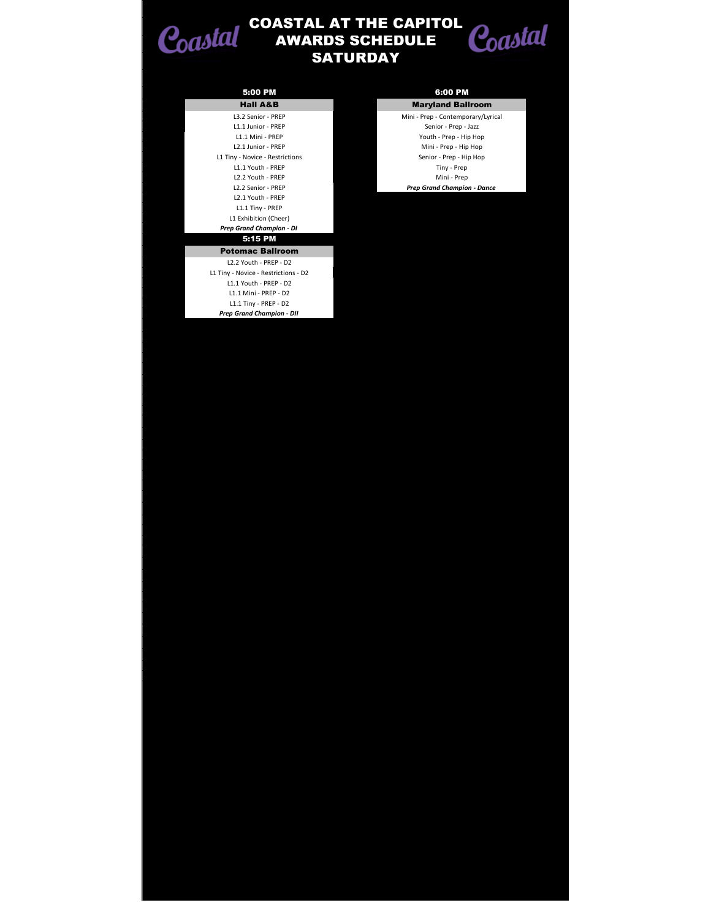

T.

## **SATURDAY** COASTAL AT THE CAPITOL AWARDS SCHEDULE



| 5:00 PM                              |
|--------------------------------------|
| <b>Hall A&amp;B</b>                  |
| L3.2 Senior - PREP                   |
| L1.1 Junior - PREP                   |
| L1.1 Mini - PREP                     |
| L2.1 Junior - PREP                   |
| L1 Tiny - Novice - Restrictions      |
| L1.1 Youth - PREP                    |
| L <sub>2.2</sub> Youth - PREP        |
| L2.2 Senior - PREP                   |
| L <sub>2.1</sub> Youth - PREP        |
| L1.1 Tiny - PREP                     |
| L1 Exhibition (Cheer)                |
| Prep Grand Champion - DI             |
|                                      |
| 5:15 PM                              |
| <b>Potomac Ballroom</b>              |
| 12.2 Youth - PREP - D2               |
| L1 Tiny - Novice - Restrictions - D2 |
| L1.1 Youth - PREP - D2               |
| L1.1 Mini - PREP - D2                |
| L1.1 Tiny - PREP - D2                |

**Maryland Ballroom** Mini - Prep - Contemporary/Lyrical Senior - Prep - Jazz Youth - Prep - Hip Hop Mini - Prep - Hip Hop Senior - Prep - Hip Hop Tiny - Prep Mini - Prep L2.2 Senior - PREP *Prep Grand Champion - Dance*

5:00 PM 6:00 PM